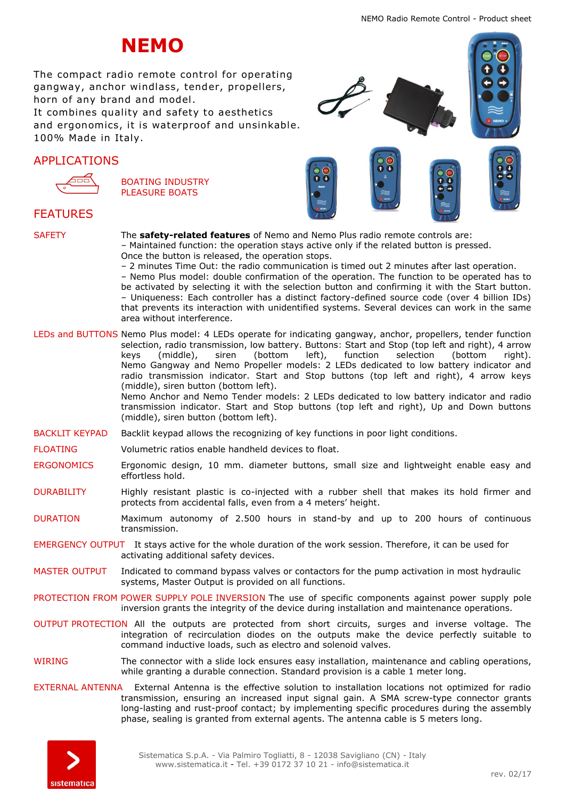# **NEMO**

The compact radio remote control for operating gangway, anchor windlass, tender, propellers, horn of any brand and model.

It combines quality and safety to aesthetics and ergonomics, it is waterproof and unsinkable. 100% Made in Italy.

## APPLICATIONS



BOATING INDUSTRY PLEASURE BOATS



## FEATURES

SAFETY The **safety-related features** of Nemo and Nemo Plus radio remote controls are: – Maintained function: the operation stays active only if the related button is pressed. Once the button is released, the operation stops. – 2 minutes Time Out: the radio communication is timed out 2 minutes after last operation. – Nemo Plus model: double confirmation of the operation. The function to be operated has to

be activated by selecting it with the selection button and confirming it with the Start button. – Uniqueness: Each controller has a distinct factory-defined source code (over 4 billion IDs) that prevents its interaction with unidentified systems. Several devices can work in the same area without interference.

LEDs and BUTTONS Nemo Plus model: 4 LEDs operate for indicating gangway, anchor, propellers, tender function selection, radio transmission, low battery. Buttons: Start and Stop (top left and right), 4 arrow<br>keys (middle), siren (bottom left), function selection (bottom right). keys (middle), siren (bottom left), function selection (bottom right). Nemo Gangway and Nemo Propeller models: 2 LEDs dedicated to low battery indicator and radio transmission indicator. Start and Stop buttons (top left and right), 4 arrow keys (middle), siren button (bottom left). Nemo Anchor and Nemo Tender models: 2 LEDs dedicated to low battery indicator and radio

transmission indicator. Start and Stop buttons (top left and right), Up and Down buttons (middle), siren button (bottom left).

- BACKLIT KEYPAD Backlit keypad allows the recognizing of key functions in poor light conditions.
- FLOATING Volumetric ratios enable handheld devices to float.
- ERGONOMICS Ergonomic design, 10 mm. diameter buttons, small size and lightweight enable easy and effortless hold.
- DURABILITY Highly resistant plastic is co-injected with a rubber shell that makes its hold firmer and protects from accidental falls, even from a 4 meters' height.
- DURATION Maximum autonomy of 2.500 hours in stand-by and up to 200 hours of continuous transmission.
- EMERGENCY OUTPUT It stays active for the whole duration of the work session. Therefore, it can be used for activating additional safety devices.
- MASTER OUTPUT Indicated to command bypass valves or contactors for the pump activation in most hydraulic systems, Master Output is provided on all functions.
- PROTECTION FROM POWER SUPPLY POLE INVERSION The use of specific components against power supply pole inversion grants the integrity of the device during installation and maintenance operations.
- OUTPUT PROTECTION All the outputs are protected from short circuits, surges and inverse voltage. The integration of recirculation diodes on the outputs make the device perfectly suitable to command inductive loads, such as electro and solenoid valves.
- WIRING The connector with a slide lock ensures easy installation, maintenance and cabling operations, while granting a durable connection. Standard provision is a cable 1 meter long.
- EXTERNAL ANTENNA External Antenna is the effective solution to installation locations not optimized for radio transmission, ensuring an increased input signal gain. A SMA screw-type connector grants long-lasting and rust-proof contact; by implementing specific procedures during the assembly phase, sealing is granted from external agents. The antenna cable is 5 meters long.